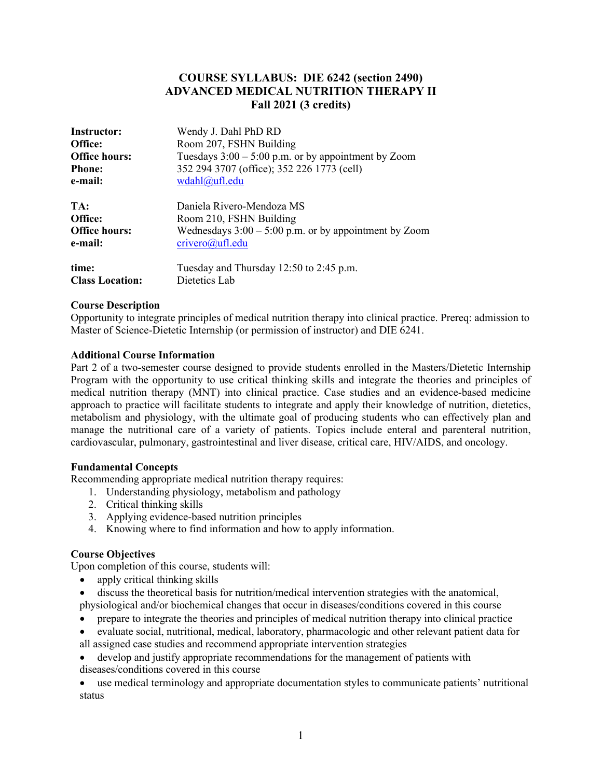## **COURSE SYLLABUS: DIE 6242 (section 2490) ADVANCED MEDICAL NUTRITION THERAPY II Fall 2021 (3 credits)**

| Instructor:            | Wendy J. Dahl PhD RD                                    |
|------------------------|---------------------------------------------------------|
| Office:                | Room 207, FSHN Building                                 |
| <b>Office hours:</b>   | Tuesdays $3:00 - 5:00$ p.m. or by appointment by Zoom   |
| <b>Phone:</b>          | 352 294 3707 (office); 352 226 1773 (cell)              |
| e-mail:                | wdahl@ufl.edu                                           |
| TA:                    | Daniela Rivero-Mendoza MS                               |
| Office:                | Room 210, FSHN Building                                 |
| <b>Office hours:</b>   | Wednesdays $3:00 - 5:00$ p.m. or by appointment by Zoom |
| e-mail:                | crivero@ufl.edu                                         |
| time:                  | Tuesday and Thursday 12:50 to 2:45 p.m.                 |
| <b>Class Location:</b> | Dietetics Lab                                           |

#### **Course Description**

Opportunity to integrate principles of medical nutrition therapy into clinical practice. Prereq: admission to Master of Science-Dietetic Internship (or permission of instructor) and DIE 6241.

#### **Additional Course Information**

Part 2 of a two-semester course designed to provide students enrolled in the Masters/Dietetic Internship Program with the opportunity to use critical thinking skills and integrate the theories and principles of medical nutrition therapy (MNT) into clinical practice. Case studies and an evidence-based medicine approach to practice will facilitate students to integrate and apply their knowledge of nutrition, dietetics, metabolism and physiology, with the ultimate goal of producing students who can effectively plan and manage the nutritional care of a variety of patients. Topics include enteral and parenteral nutrition, cardiovascular, pulmonary, gastrointestinal and liver disease, critical care, HIV/AIDS, and oncology.

## **Fundamental Concepts**

Recommending appropriate medical nutrition therapy requires:

- 1. Understanding physiology, metabolism and pathology
- 2. Critical thinking skills
- 3. Applying evidence-based nutrition principles
- 4. Knowing where to find information and how to apply information.

#### **Course Objectives**

Upon completion of this course, students will:

- apply critical thinking skills
- discuss the theoretical basis for nutrition/medical intervention strategies with the anatomical, physiological and/or biochemical changes that occur in diseases/conditions covered in this course
- prepare to integrate the theories and principles of medical nutrition therapy into clinical practice
- evaluate social, nutritional, medical, laboratory, pharmacologic and other relevant patient data for all assigned case studies and recommend appropriate intervention strategies
- develop and justify appropriate recommendations for the management of patients with diseases/conditions covered in this course

• use medical terminology and appropriate documentation styles to communicate patients' nutritional status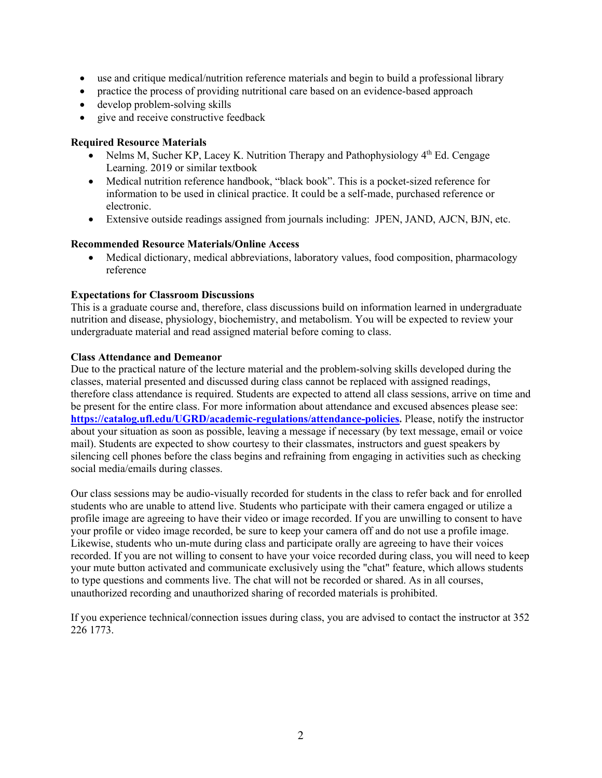- use and critique medical/nutrition reference materials and begin to build a professional library
- practice the process of providing nutritional care based on an evidence-based approach
- develop problem-solving skills
- give and receive constructive feedback

## **Required Resource Materials**

- Nelms M, Sucher KP, Lacey K. Nutrition Therapy and Pathophysiology  $4<sup>th</sup>$  Ed. Cengage Learning. 2019 or similar textbook
- Medical nutrition reference handbook, "black book". This is a pocket-sized reference for information to be used in clinical practice. It could be a self-made, purchased reference or electronic.
- Extensive outside readings assigned from journals including: JPEN, JAND, AJCN, BJN, etc.

## **Recommended Resource Materials/Online Access**

• Medical dictionary, medical abbreviations, laboratory values, food composition, pharmacology reference

## **Expectations for Classroom Discussions**

This is a graduate course and, therefore, class discussions build on information learned in undergraduate nutrition and disease, physiology, biochemistry, and metabolism. You will be expected to review your undergraduate material and read assigned material before coming to class.

## **Class Attendance and Demeanor**

Due to the practical nature of the lecture material and the problem-solving skills developed during the classes, material presented and discussed during class cannot be replaced with assigned readings, therefore class attendance is required. Students are expected to attend all class sessions, arrive on time and be present for the entire class. For more information about attendance and excused absences please see: **https://catalog.ufl.edu/UGRD/academic-regulations/attendance-policies.** Please, notify the instructor about your situation as soon as possible, leaving a message if necessary (by text message, email or voice mail). Students are expected to show courtesy to their classmates, instructors and guest speakers by silencing cell phones before the class begins and refraining from engaging in activities such as checking social media/emails during classes.

Our class sessions may be audio-visually recorded for students in the class to refer back and for enrolled students who are unable to attend live. Students who participate with their camera engaged or utilize a profile image are agreeing to have their video or image recorded. If you are unwilling to consent to have your profile or video image recorded, be sure to keep your camera off and do not use a profile image. Likewise, students who un-mute during class and participate orally are agreeing to have their voices recorded. If you are not willing to consent to have your voice recorded during class, you will need to keep your mute button activated and communicate exclusively using the "chat" feature, which allows students to type questions and comments live. The chat will not be recorded or shared. As in all courses, unauthorized recording and unauthorized sharing of recorded materials is prohibited.

If you experience technical/connection issues during class, you are advised to contact the instructor at 352 226 1773.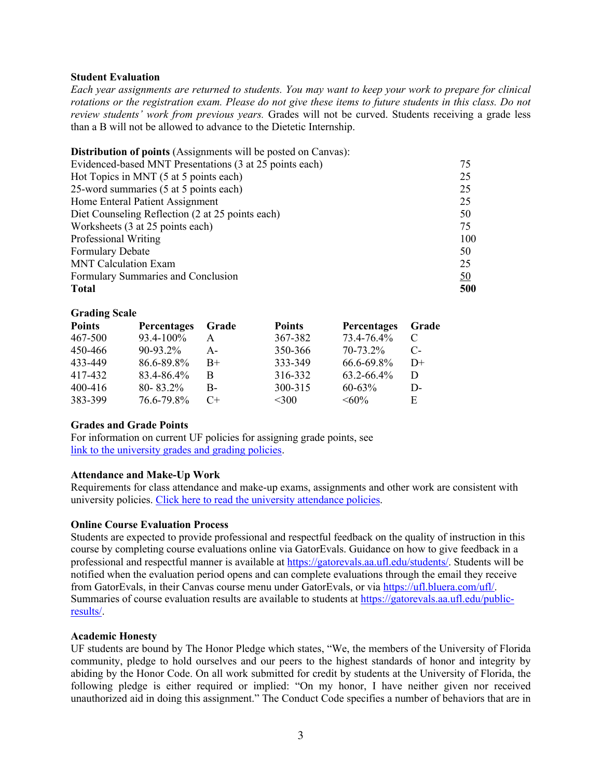#### **Student Evaluation**

*Each year assignments are returned to students. You may want to keep your work to prepare for clinical rotations or the registration exam. Please do not give these items to future students in this class. Do not review students' work from previous years.* Grades will not be curved. Students receiving a grade less than a B will not be allowed to advance to the Dietetic Internship.

| <b>Distribution of points</b> (Assignments will be posted on Canvas): |           |
|-----------------------------------------------------------------------|-----------|
| Evidenced-based MNT Presentations (3 at 25 points each)               | 75        |
| Hot Topics in MNT (5 at 5 points each)                                | 25        |
| 25-word summaries (5 at 5 points each)                                | 25        |
| Home Enteral Patient Assignment                                       | 25        |
| Diet Counseling Reflection (2 at 25 points each)                      | 50        |
| Worksheets (3 at 25 points each)                                      | 75        |
| Professional Writing                                                  | 100       |
| <b>Formulary Debate</b>                                               | 50        |
| <b>MNT</b> Calculation Exam                                           | 25        |
| Formulary Summaries and Conclusion                                    | <u>50</u> |
| <b>Total</b>                                                          | 500       |
|                                                                       |           |

#### **Grading Scale**

| <b>Points</b> | <b>Percentages</b> | Grade     | <b>Points</b> | Percentages | Grade |
|---------------|--------------------|-----------|---------------|-------------|-------|
| 467-500       | $93.4 - 100\%$     |           | 367-382       | 73.4-76.4%  |       |
| 450-466       | $90 - 93.2\%$      | A –       | 350-366       | 70-73.2%    | $C$ - |
| 433-449       | 86.6-89.8%         | $B+$      | 333-349       | 66.6-69.8%  | $D+$  |
| 417-432       | 83.4-86.4%         | В         | 316-332       | 63.2-66.4%  | D     |
| 400-416       | $80 - 83.2\%$      | В-        | 300-315       | $60 - 63%$  | D-    |
| 383-399       | 76.6-79.8%         | $C_{\pm}$ | <300          | $\leq 60\%$ | E.    |

#### **Grades and Grade Points**

For information on current UF policies for assigning grade points, see link to the university grades and grading policies.

#### **Attendance and Make-Up Work**

Requirements for class attendance and make-up exams, assignments and other work are consistent with university policies. Click here to read the university attendance policies.

#### **Online Course Evaluation Process**

Students are expected to provide professional and respectful feedback on the quality of instruction in this course by completing course evaluations online via GatorEvals. Guidance on how to give feedback in a professional and respectful manner is available at https://gatorevals.aa.ufl.edu/students/. Students will be notified when the evaluation period opens and can complete evaluations through the email they receive from GatorEvals, in their Canvas course menu under GatorEvals, or via https://ufl.bluera.com/ufl/. Summaries of course evaluation results are available to students at https://gatorevals.aa.ufl.edu/publicresults/.

#### **Academic Honesty**

UF students are bound by The Honor Pledge which states, "We, the members of the University of Florida community, pledge to hold ourselves and our peers to the highest standards of honor and integrity by abiding by the Honor Code. On all work submitted for credit by students at the University of Florida, the following pledge is either required or implied: "On my honor, I have neither given nor received unauthorized aid in doing this assignment." The Conduct Code specifies a number of behaviors that are in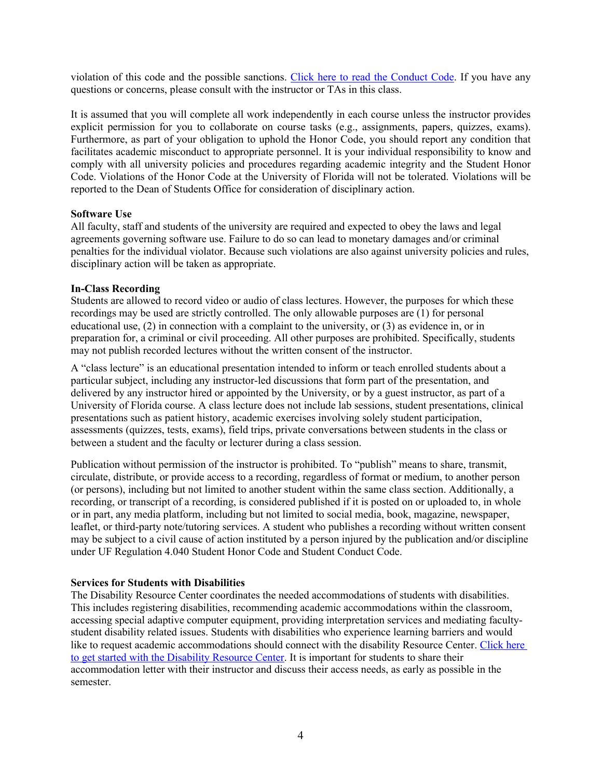violation of this code and the possible sanctions. Click here to read the Conduct Code. If you have any questions or concerns, please consult with the instructor or TAs in this class.

It is assumed that you will complete all work independently in each course unless the instructor provides explicit permission for you to collaborate on course tasks (e.g., assignments, papers, quizzes, exams). Furthermore, as part of your obligation to uphold the Honor Code, you should report any condition that facilitates academic misconduct to appropriate personnel. It is your individual responsibility to know and comply with all university policies and procedures regarding academic integrity and the Student Honor Code. Violations of the Honor Code at the University of Florida will not be tolerated. Violations will be reported to the Dean of Students Office for consideration of disciplinary action.

#### **Software Use**

All faculty, staff and students of the university are required and expected to obey the laws and legal agreements governing software use. Failure to do so can lead to monetary damages and/or criminal penalties for the individual violator. Because such violations are also against university policies and rules, disciplinary action will be taken as appropriate.

#### **In-Class Recording**

Students are allowed to record video or audio of class lectures. However, the purposes for which these recordings may be used are strictly controlled. The only allowable purposes are (1) for personal educational use, (2) in connection with a complaint to the university, or (3) as evidence in, or in preparation for, a criminal or civil proceeding. All other purposes are prohibited. Specifically, students may not publish recorded lectures without the written consent of the instructor.

A "class lecture" is an educational presentation intended to inform or teach enrolled students about a particular subject, including any instructor-led discussions that form part of the presentation, and delivered by any instructor hired or appointed by the University, or by a guest instructor, as part of a University of Florida course. A class lecture does not include lab sessions, student presentations, clinical presentations such as patient history, academic exercises involving solely student participation, assessments (quizzes, tests, exams), field trips, private conversations between students in the class or between a student and the faculty or lecturer during a class session.

Publication without permission of the instructor is prohibited. To "publish" means to share, transmit, circulate, distribute, or provide access to a recording, regardless of format or medium, to another person (or persons), including but not limited to another student within the same class section. Additionally, a recording, or transcript of a recording, is considered published if it is posted on or uploaded to, in whole or in part, any media platform, including but not limited to social media, book, magazine, newspaper, leaflet, or third-party note/tutoring services. A student who publishes a recording without written consent may be subject to a civil cause of action instituted by a person injured by the publication and/or discipline under UF Regulation 4.040 Student Honor Code and Student Conduct Code.

#### **Services for Students with Disabilities**

The Disability Resource Center coordinates the needed accommodations of students with disabilities. This includes registering disabilities, recommending academic accommodations within the classroom, accessing special adaptive computer equipment, providing interpretation services and mediating facultystudent disability related issues. Students with disabilities who experience learning barriers and would like to request academic accommodations should connect with the disability Resource Center. Click here to get started with the Disability Resource Center. It is important for students to share their accommodation letter with their instructor and discuss their access needs, as early as possible in the semester.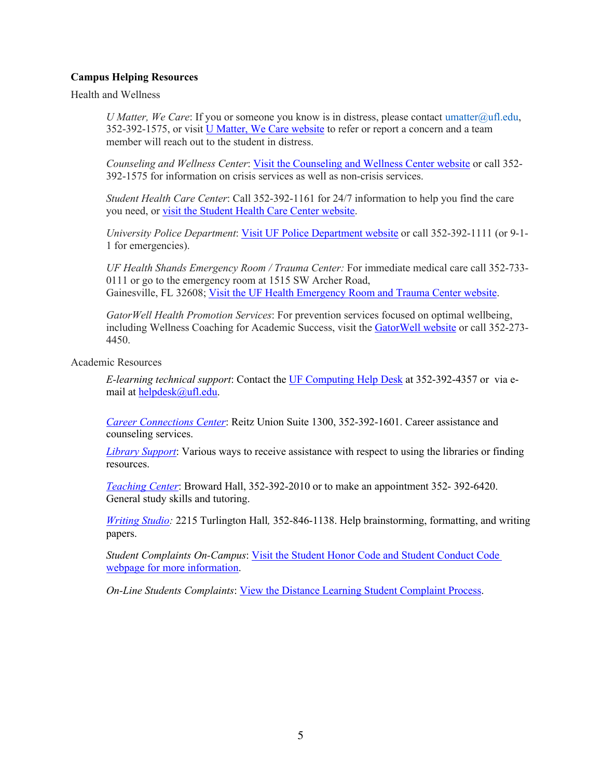## **Campus Helping Resources**

Health and Wellness

*U Matter, We Care*: If you or someone you know is in distress, please contact umatter@ufl.edu, 352-392-1575, or visit U Matter, We Care website to refer or report a concern and a team member will reach out to the student in distress.

*Counseling and Wellness Center*: Visit the Counseling and Wellness Center website or call 352- 392-1575 for information on crisis services as well as non-crisis services.

*Student Health Care Center*: Call 352-392-1161 for 24/7 information to help you find the care you need, or visit the Student Health Care Center website.

*University Police Department*: Visit UF Police Department website or call 352-392-1111 (or 9-1- 1 for emergencies).

*UF Health Shands Emergency Room / Trauma Center:* For immediate medical care call 352-733- 0111 or go to the emergency room at 1515 SW Archer Road, Gainesville, FL 32608; Visit the UF Health Emergency Room and Trauma Center website.

*GatorWell Health Promotion Services*: For prevention services focused on optimal wellbeing, including Wellness Coaching for Academic Success, visit the GatorWell website or call 352-273- 4450.

Academic Resources

*E-learning technical support*: Contact the UF Computing Help Desk at 352-392-4357 or via email at helpdesk@ufl.edu.

*Career Connections Center*: Reitz Union Suite 1300, 352-392-1601. Career assistance and counseling services.

*Library Support*: Various ways to receive assistance with respect to using the libraries or finding resources.

*Teaching Center*: Broward Hall, 352-392-2010 or to make an appointment 352- 392-6420. General study skills and tutoring.

*Writing Studio:* 2215 Turlington Hall*,* 352-846-1138. Help brainstorming, formatting, and writing papers.

*Student Complaints On-Campus*: Visit the Student Honor Code and Student Conduct Code webpage for more information.

*On-Line Students Complaints*: View the Distance Learning Student Complaint Process.